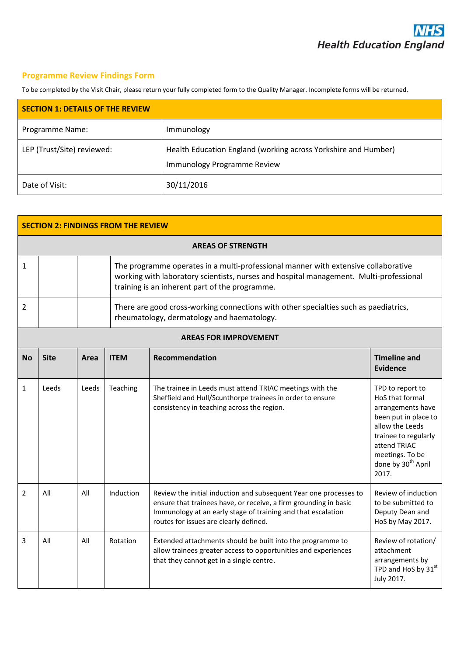## **Programme Review Findings Form**

To be completed by the Visit Chair, please return your fully completed form to the Quality Manager. Incomplete forms will be returned.

| <b>SECTION 1: DETAILS OF THE REVIEW</b> |                                                                                               |  |  |
|-----------------------------------------|-----------------------------------------------------------------------------------------------|--|--|
| Programme Name:                         | Immunology                                                                                    |  |  |
| LEP (Trust/Site) reviewed:              | Health Education England (working across Yorkshire and Humber)<br>Immunology Programme Review |  |  |
| Date of Visit:                          | 30/11/2016                                                                                    |  |  |

| <b>SECTION 2: FINDINGS FROM THE REVIEW</b> |                              |       |             |                                                                                                                                                                                                                                                 |                                                                                                                                                                                                           |  |
|--------------------------------------------|------------------------------|-------|-------------|-------------------------------------------------------------------------------------------------------------------------------------------------------------------------------------------------------------------------------------------------|-----------------------------------------------------------------------------------------------------------------------------------------------------------------------------------------------------------|--|
| <b>AREAS OF STRENGTH</b>                   |                              |       |             |                                                                                                                                                                                                                                                 |                                                                                                                                                                                                           |  |
| 1                                          |                              |       |             | The programme operates in a multi-professional manner with extensive collaborative<br>working with laboratory scientists, nurses and hospital management. Multi-professional<br>training is an inherent part of the programme.                  |                                                                                                                                                                                                           |  |
| 2                                          |                              |       |             | There are good cross-working connections with other specialties such as paediatrics,<br>rheumatology, dermatology and haematology.                                                                                                              |                                                                                                                                                                                                           |  |
|                                            | <b>AREAS FOR IMPROVEMENT</b> |       |             |                                                                                                                                                                                                                                                 |                                                                                                                                                                                                           |  |
| <b>No</b>                                  | <b>Site</b>                  | Area  | <b>ITEM</b> | <b>Recommendation</b>                                                                                                                                                                                                                           | <b>Timeline and</b><br><b>Evidence</b>                                                                                                                                                                    |  |
| $\mathbf{1}$                               | Leeds                        | Leeds | Teaching    | The trainee in Leeds must attend TRIAC meetings with the<br>Sheffield and Hull/Scunthorpe trainees in order to ensure<br>consistency in teaching across the region.                                                                             | TPD to report to<br>HoS that formal<br>arrangements have<br>been put in place to<br>allow the Leeds<br>trainee to regularly<br>attend TRIAC<br>meetings. To be<br>done by 30 <sup>th</sup> April<br>2017. |  |
| $\overline{2}$                             | All                          | All   | Induction   | Review the initial induction and subsequent Year one processes to<br>ensure that trainees have, or receive, a firm grounding in basic<br>Immunology at an early stage of training and that escalation<br>routes for issues are clearly defined. | Review of induction<br>to be submitted to<br>Deputy Dean and<br>HoS by May 2017.                                                                                                                          |  |
| 3                                          | All                          | All   | Rotation    | Extended attachments should be built into the programme to<br>allow trainees greater access to opportunities and experiences<br>that they cannot get in a single centre.                                                                        | Review of rotation/<br>attachment<br>arrangements by<br>TPD and HoS by 31st<br>July 2017.                                                                                                                 |  |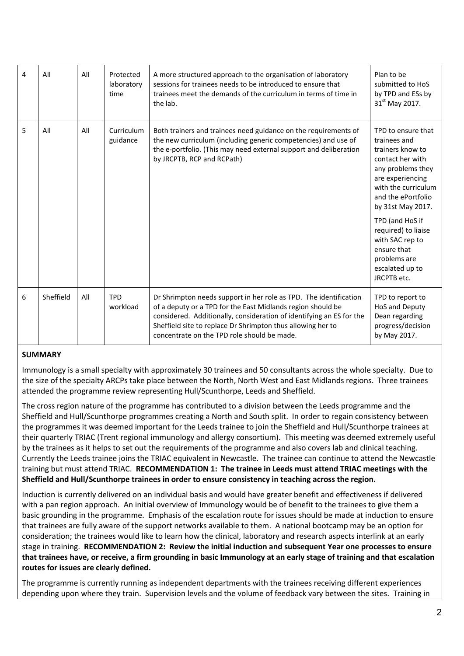| 4 | All       | All | Protected<br>laboratory<br>time | A more structured approach to the organisation of laboratory<br>sessions for trainees needs to be introduced to ensure that<br>trainees meet the demands of the curriculum in terms of time in<br>the lab.                                                                                                             | Plan to be<br>submitted to HoS<br>by TPD and ESs by<br>31 <sup>st</sup> May 2017.                                                                                                                                                                                                                                   |
|---|-----------|-----|---------------------------------|------------------------------------------------------------------------------------------------------------------------------------------------------------------------------------------------------------------------------------------------------------------------------------------------------------------------|---------------------------------------------------------------------------------------------------------------------------------------------------------------------------------------------------------------------------------------------------------------------------------------------------------------------|
| 5 | All       | All | Curriculum<br>guidance          | Both trainers and trainees need guidance on the requirements of<br>the new curriculum (including generic competencies) and use of<br>the e-portfolio. (This may need external support and deliberation<br>by JRCPTB, RCP and RCPath)                                                                                   | TPD to ensure that<br>trainees and<br>trainers know to<br>contact her with<br>any problems they<br>are experiencing<br>with the curriculum<br>and the ePortfolio<br>by 31st May 2017.<br>TPD (and HoS if<br>required) to liaise<br>with SAC rep to<br>ensure that<br>problems are<br>escalated up to<br>JRCPTB etc. |
| 6 | Sheffield | All | <b>TPD</b><br>workload          | Dr Shrimpton needs support in her role as TPD. The identification<br>of a deputy or a TPD for the East Midlands region should be<br>considered. Additionally, consideration of identifying an ES for the<br>Sheffield site to replace Dr Shrimpton thus allowing her to<br>concentrate on the TPD role should be made. | TPD to report to<br><b>HoS and Deputy</b><br>Dean regarding<br>progress/decision<br>by May 2017.                                                                                                                                                                                                                    |

## **SUMMARY**

Immunology is a small specialty with approximately 30 trainees and 50 consultants across the whole specialty. Due to the size of the specialty ARCPs take place between the North, North West and East Midlands regions. Three trainees attended the programme review representing Hull/Scunthorpe, Leeds and Sheffield.

The cross region nature of the programme has contributed to a division between the Leeds programme and the Sheffield and Hull/Scunthorpe programmes creating a North and South split. In order to regain consistency between the programmes it was deemed important for the Leeds trainee to join the Sheffield and Hull/Scunthorpe trainees at their quarterly TRIAC (Trent regional immunology and allergy consortium). This meeting was deemed extremely useful by the trainees as it helps to set out the requirements of the programme and also covers lab and clinical teaching. Currently the Leeds trainee joins the TRIAC equivalent in Newcastle. The trainee can continue to attend the Newcastle training but must attend TRIAC. **RECOMMENDATION 1: The trainee in Leeds must attend TRIAC meetings with the Sheffield and Hull/Scunthorpe trainees in order to ensure consistency in teaching across the region.** 

Induction is currently delivered on an individual basis and would have greater benefit and effectiveness if delivered with a pan region approach. An initial overview of Immunology would be of benefit to the trainees to give them a basic grounding in the programme. Emphasis of the escalation route for issues should be made at induction to ensure that trainees are fully aware of the support networks available to them. A national bootcamp may be an option for consideration; the trainees would like to learn how the clinical, laboratory and research aspects interlink at an early stage in training. **RECOMMENDATION 2: Review the initial induction and subsequent Year one processes to ensure that trainees have, or receive, a firm grounding in basic Immunology at an early stage of training and that escalation routes for issues are clearly defined.**

The programme is currently running as independent departments with the trainees receiving different experiences depending upon where they train. Supervision levels and the volume of feedback vary between the sites. Training in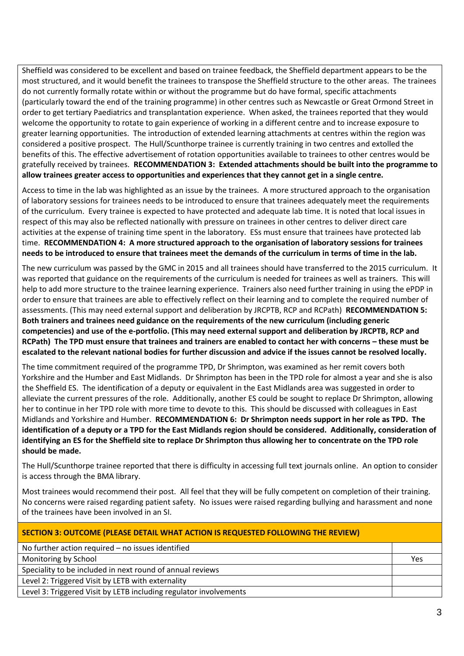Sheffield was considered to be excellent and based on trainee feedback, the Sheffield department appears to be the most structured, and it would benefit the trainees to transpose the Sheffield structure to the other areas. The trainees do not currently formally rotate within or without the programme but do have formal, specific attachments (particularly toward the end of the training programme) in other centres such as Newcastle or Great Ormond Street in order to get tertiary Paediatrics and transplantation experience. When asked, the trainees reported that they would welcome the opportunity to rotate to gain experience of working in a different centre and to increase exposure to greater learning opportunities. The introduction of extended learning attachments at centres within the region was considered a positive prospect. The Hull/Scunthorpe trainee is currently training in two centres and extolled the benefits of this. The effective advertisement of rotation opportunities available to trainees to other centres would be gratefully received by trainees. **RECOMMENDATION 3: Extended attachments should be built into the programme to allow trainees greater access to opportunities and experiences that they cannot get in a single centre.**

Access to time in the lab was highlighted as an issue by the trainees. A more structured approach to the organisation of laboratory sessions for trainees needs to be introduced to ensure that trainees adequately meet the requirements of the curriculum. Every trainee is expected to have protected and adequate lab time. It is noted that local issues in respect of this may also be reflected nationally with pressure on trainees in other centres to deliver direct care activities at the expense of training time spent in the laboratory. ESs must ensure that trainees have protected lab time. **RECOMMENDATION 4: A more structured approach to the organisation of laboratory sessions for trainees needs to be introduced to ensure that trainees meet the demands of the curriculum in terms of time in the lab.**

The new curriculum was passed by the GMC in 2015 and all trainees should have transferred to the 2015 curriculum. It was reported that guidance on the requirements of the curriculum is needed for trainees as well as trainers. This will help to add more structure to the trainee learning experience. Trainers also need further training in using the ePDP in order to ensure that trainees are able to effectively reflect on their learning and to complete the required number of assessments. (This may need external support and deliberation by JRCPTB, RCP and RCPath) **RECOMMENDATION 5: Both trainers and trainees need guidance on the requirements of the new curriculum (including generic competencies) and use of the e-portfolio. (This may need external support and deliberation by JRCPTB, RCP and RCPath) The TPD must ensure that trainees and trainers are enabled to contact her with concerns – these must be escalated to the relevant national bodies for further discussion and advice if the issues cannot be resolved locally.**

The time commitment required of the programme TPD, Dr Shrimpton, was examined as her remit covers both Yorkshire and the Humber and East Midlands. Dr Shrimpton has been in the TPD role for almost a year and she is also the Sheffield ES. The identification of a deputy or equivalent in the East Midlands area was suggested in order to alleviate the current pressures of the role. Additionally, another ES could be sought to replace Dr Shrimpton, allowing her to continue in her TPD role with more time to devote to this. This should be discussed with colleagues in East Midlands and Yorkshire and Humber. **RECOMMENDATION 6: Dr Shrimpton needs support in her role as TPD. The identification of a deputy or a TPD for the East Midlands region should be considered. Additionally, consideration of identifying an ES for the Sheffield site to replace Dr Shrimpton thus allowing her to concentrate on the TPD role should be made.**

The Hull/Scunthorpe trainee reported that there is difficulty in accessing full text journals online. An option to consider is access through the BMA library.

Most trainees would recommend their post. All feel that they will be fully competent on completion of their training. No concerns were raised regarding patient safety. No issues were raised regarding bullying and harassment and none of the trainees have been involved in an SI.

| <b>SECTION 3: OUTCOME (PLEASE DETAIL WHAT ACTION IS REQUESTED FOLLOWING THE REVIEW)</b> |     |  |
|-----------------------------------------------------------------------------------------|-----|--|
| No further action required - no issues identified                                       |     |  |
| Monitoring by School                                                                    | Yes |  |
| Speciality to be included in next round of annual reviews                               |     |  |
| Level 2: Triggered Visit by LETB with externality                                       |     |  |
| Level 3: Triggered Visit by LETB including regulator involvements                       |     |  |
|                                                                                         |     |  |